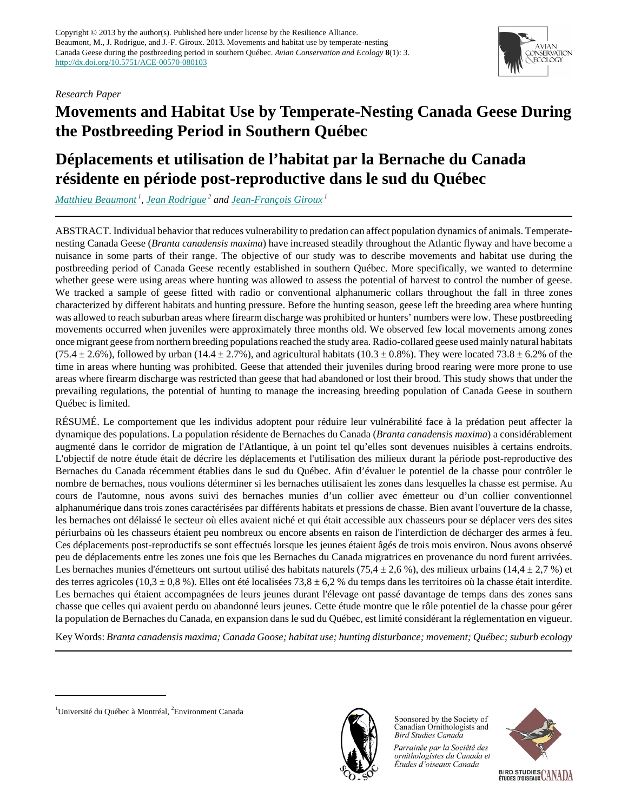## *Research Paper*



# **Movements and Habitat Use by Temperate-Nesting Canada Geese During the Postbreeding Period in Southern Québec**

## **Déplacements et utilisation de l'habitat par la Bernache du Canada résidente en période post-reproductive dans le sud du Québec**

*[Matthieu Beaumont](mailto:matthieu.beaumont@yahoo.ca)<sup>1</sup>* , *[Jean Rodrigue](mailto:jean.rodrigue@ec.gc.ca)<sup>2</sup> and [Jean-François Giroux](mailto:giroux.jean-francois@uqam.ca)<sup>1</sup>*

ABSTRACT. Individual behavior that reduces vulnerability to predation can affect population dynamics of animals. Temperatenesting Canada Geese (*Branta canadensis maxima*) have increased steadily throughout the Atlantic flyway and have become a nuisance in some parts of their range. The objective of our study was to describe movements and habitat use during the postbreeding period of Canada Geese recently established in southern Québec. More specifically, we wanted to determine whether geese were using areas where hunting was allowed to assess the potential of harvest to control the number of geese. We tracked a sample of geese fitted with radio or conventional alphanumeric collars throughout the fall in three zones characterized by different habitats and hunting pressure. Before the hunting season, geese left the breeding area where hunting was allowed to reach suburban areas where firearm discharge was prohibited or hunters' numbers were low. These postbreeding movements occurred when juveniles were approximately three months old. We observed few local movements among zones once migrant geese from northern breeding populations reached the study area. Radio-collared geese used mainly natural habitats  $(75.4 \pm 2.6\%)$ , followed by urban  $(14.4 \pm 2.7\%)$ , and agricultural habitats  $(10.3 \pm 0.8\%)$ . They were located 73.8  $\pm$  6.2% of the time in areas where hunting was prohibited. Geese that attended their juveniles during brood rearing were more prone to use areas where firearm discharge was restricted than geese that had abandoned or lost their brood. This study shows that under the prevailing regulations, the potential of hunting to manage the increasing breeding population of Canada Geese in southern Québec is limited.

RÉSUMÉ. Le comportement que les individus adoptent pour réduire leur vulnérabilité face à la prédation peut affecter la dynamique des populations. La population résidente de Bernaches du Canada (*Branta canadensis maxima*) a considérablement augmenté dans le corridor de migration de l'Atlantique, à un point tel qu'elles sont devenues nuisibles à certains endroits. L'objectif de notre étude était de décrire les déplacements et l'utilisation des milieux durant la période post-reproductive des Bernaches du Canada récemment établies dans le sud du Québec. Afin d'évaluer le potentiel de la chasse pour contrôler le nombre de bernaches, nous voulions déterminer si les bernaches utilisaient les zones dans lesquelles la chasse est permise. Au cours de l'automne, nous avons suivi des bernaches munies d'un collier avec émetteur ou d'un collier conventionnel alphanumérique dans trois zones caractérisées par différents habitats et pressions de chasse. Bien avant l'ouverture de la chasse, les bernaches ont délaissé le secteur où elles avaient niché et qui était accessible aux chasseurs pour se déplacer vers des sites périurbains où les chasseurs étaient peu nombreux ou encore absents en raison de l'interdiction de décharger des armes à feu. Ces déplacements post-reproductifs se sont effectués lorsque les jeunes étaient âgés de trois mois environ. Nous avons observé peu de déplacements entre les zones une fois que les Bernaches du Canada migratrices en provenance du nord furent arrivées. Les bernaches munies d'émetteurs ont surtout utilisé des habitats naturels (75,4 ± 2,6 %), des milieux urbains (14,4 ± 2,7 %) et des terres agricoles (10,3 ± 0,8 %). Elles ont été localisées 73,8 ± 6,2 % du temps dans les territoires où la chasse était interdite. Les bernaches qui étaient accompagnées de leurs jeunes durant l'élevage ont passé davantage de temps dans des zones sans chasse que celles qui avaient perdu ou abandonné leurs jeunes. Cette étude montre que le rôle potentiel de la chasse pour gérer la population de Bernaches du Canada, en expansion dans le sud du Québec, est limité considérant la réglementation en vigueur.

Key Words: *Branta canadensis maxima; Canada Goose; habitat use; hunting disturbance; movement; Québec; suburb ecology*



Sponsored by the Society of Canadian Ornithologists and **Bird Studies Canada** 

Parrainée par la Société des ornithologistes du Canada et Études d'oiseaux Canada



<sup>&</sup>lt;sup>1</sup>Université du Québec à Montréal, <sup>2</sup>Environment Canada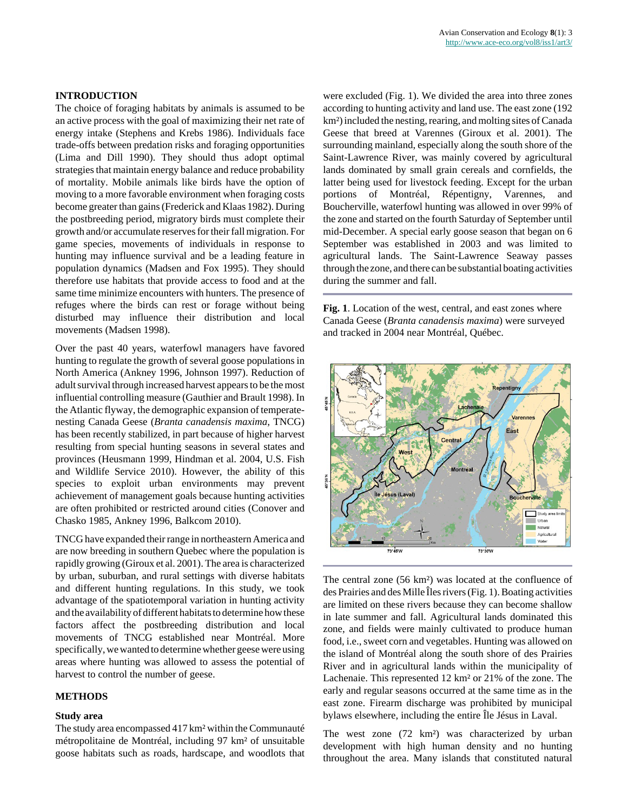## **INTRODUCTION**

The choice of foraging habitats by animals is assumed to be an active process with the goal of maximizing their net rate of energy intake (Stephens and Krebs 1986). Individuals face trade-offs between predation risks and foraging opportunities (Lima and Dill 1990). They should thus adopt optimal strategies that maintain energy balance and reduce probability of mortality. Mobile animals like birds have the option of moving to a more favorable environment when foraging costs become greater than gains (Frederick and Klaas 1982). During the postbreeding period, migratory birds must complete their growth and/or accumulate reserves for their fall migration. For game species, movements of individuals in response to hunting may influence survival and be a leading feature in population dynamics (Madsen and Fox 1995). They should therefore use habitats that provide access to food and at the same time minimize encounters with hunters. The presence of refuges where the birds can rest or forage without being disturbed may influence their distribution and local movements (Madsen 1998).

Over the past 40 years, waterfowl managers have favored hunting to regulate the growth of several goose populations in North America (Ankney 1996, Johnson 1997). Reduction of adult survival through increased harvest appears to be the most influential controlling measure (Gauthier and Brault 1998). In the Atlantic flyway, the demographic expansion of temperatenesting Canada Geese (*Branta canadensis maxima*, TNCG) has been recently stabilized, in part because of higher harvest resulting from special hunting seasons in several states and provinces (Heusmann 1999, Hindman et al. 2004, U.S. Fish and Wildlife Service 2010). However, the ability of this species to exploit urban environments may prevent achievement of management goals because hunting activities are often prohibited or restricted around cities (Conover and Chasko 1985, Ankney 1996, Balkcom 2010).

TNCG have expanded their range in northeastern America and are now breeding in southern Quebec where the population is rapidly growing (Giroux et al. 2001). The area is characterized by urban, suburban, and rural settings with diverse habitats and different hunting regulations. In this study, we took advantage of the spatiotemporal variation in hunting activity and the availability of different habitats to determine how these factors affect the postbreeding distribution and local movements of TNCG established near Montréal. More specifically, we wanted to determine whether geese were using areas where hunting was allowed to assess the potential of harvest to control the number of geese.

## **METHODS**

#### **Study area**

The study area encompassed 417 km² within the Communauté métropolitaine de Montréal, including 97 km² of unsuitable goose habitats such as roads, hardscape, and woodlots that were excluded (Fig. 1). We divided the area into three zones according to hunting activity and land use. The east zone (192 km²) included the nesting, rearing, and molting sites of Canada Geese that breed at Varennes (Giroux et al. 2001). The surrounding mainland, especially along the south shore of the Saint-Lawrence River, was mainly covered by agricultural lands dominated by small grain cereals and cornfields, the latter being used for livestock feeding. Except for the urban portions of Montréal, Répentigny, Varennes, and Boucherville, waterfowl hunting was allowed in over 99% of the zone and started on the fourth Saturday of September until mid-December. A special early goose season that began on 6 September was established in 2003 and was limited to agricultural lands. The Saint-Lawrence Seaway passes through the zone, and there can be substantial boating activities during the summer and fall.

**Fig. 1**. Location of the west, central, and east zones where Canada Geese (*Branta canadensis maxima*) were surveyed and tracked in 2004 near Montréal, Québec.



The central zone (56 km²) was located at the confluence of des Prairies and des Mille Îles rivers (Fig. 1). Boating activities are limited on these rivers because they can become shallow in late summer and fall. Agricultural lands dominated this zone, and fields were mainly cultivated to produce human food, i.e., sweet corn and vegetables. Hunting was allowed on the island of Montréal along the south shore of des Prairies River and in agricultural lands within the municipality of Lachenaie. This represented 12 km² or 21% of the zone. The early and regular seasons occurred at the same time as in the east zone. Firearm discharge was prohibited by municipal bylaws elsewhere, including the entire Île Jésus in Laval.

The west zone (72 km²) was characterized by urban development with high human density and no hunting throughout the area. Many islands that constituted natural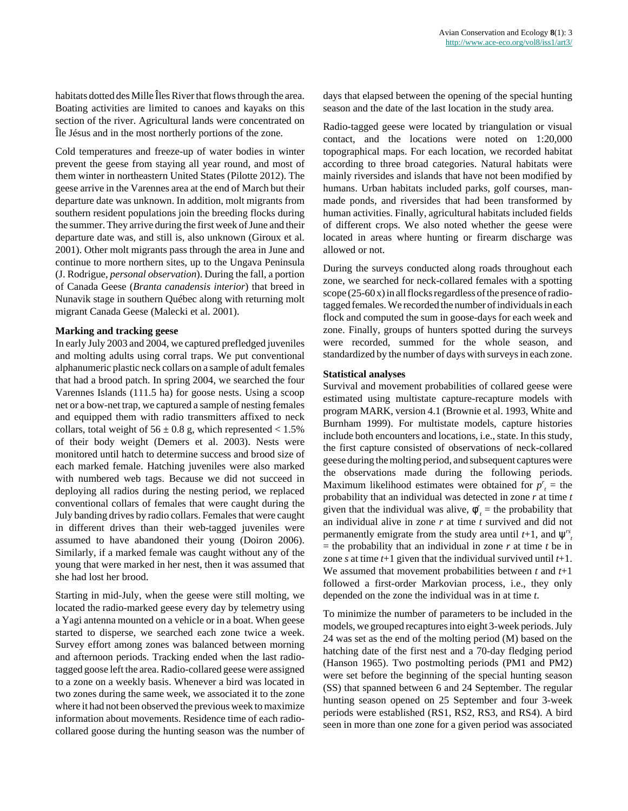habitats dotted des Mille Îles River that flows through the area. Boating activities are limited to canoes and kayaks on this section of the river. Agricultural lands were concentrated on Île Jésus and in the most northerly portions of the zone.

Cold temperatures and freeze-up of water bodies in winter prevent the geese from staying all year round, and most of them winter in northeastern United States (Pilotte 2012). The geese arrive in the Varennes area at the end of March but their departure date was unknown. In addition, molt migrants from southern resident populations join the breeding flocks during the summer. They arrive during the first week of June and their departure date was, and still is, also unknown (Giroux et al. 2001). Other molt migrants pass through the area in June and continue to more northern sites, up to the Ungava Peninsula (J. Rodrigue, *personal observation*). During the fall, a portion of Canada Geese (*Branta canadensis interior*) that breed in Nunavik stage in southern Québec along with returning molt migrant Canada Geese (Malecki et al. 2001).

## **Marking and tracking geese**

In early July 2003 and 2004, we captured prefledged juveniles and molting adults using corral traps. We put conventional alphanumeric plastic neck collars on a sample of adult females that had a brood patch. In spring 2004, we searched the four Varennes Islands (111.5 ha) for goose nests. Using a scoop net or a bow-net trap, we captured a sample of nesting females and equipped them with radio transmitters affixed to neck collars, total weight of  $56 \pm 0.8$  g, which represented < 1.5% of their body weight (Demers et al. 2003). Nests were monitored until hatch to determine success and brood size of each marked female. Hatching juveniles were also marked with numbered web tags. Because we did not succeed in deploying all radios during the nesting period, we replaced conventional collars of females that were caught during the July banding drives by radio collars. Females that were caught in different drives than their web-tagged juveniles were assumed to have abandoned their young (Doiron 2006). Similarly, if a marked female was caught without any of the young that were marked in her nest, then it was assumed that she had lost her brood.

Starting in mid-July, when the geese were still molting, we located the radio-marked geese every day by telemetry using a Yagi antenna mounted on a vehicle or in a boat. When geese started to disperse, we searched each zone twice a week. Survey effort among zones was balanced between morning and afternoon periods. Tracking ended when the last radiotagged goose left the area. Radio-collared geese were assigned to a zone on a weekly basis. Whenever a bird was located in two zones during the same week, we associated it to the zone where it had not been observed the previous week to maximize information about movements. Residence time of each radiocollared goose during the hunting season was the number of days that elapsed between the opening of the special hunting season and the date of the last location in the study area.

Radio-tagged geese were located by triangulation or visual contact, and the locations were noted on 1:20,000 topographical maps. For each location, we recorded habitat according to three broad categories. Natural habitats were mainly riversides and islands that have not been modified by humans. Urban habitats included parks, golf courses, manmade ponds, and riversides that had been transformed by human activities. Finally, agricultural habitats included fields of different crops. We also noted whether the geese were located in areas where hunting or firearm discharge was allowed or not.

During the surveys conducted along roads throughout each zone, we searched for neck-collared females with a spotting scope (25-60 x) in all flocks regardless of the presence of radiotagged females. We recorded the number of individuals in each flock and computed the sum in goose-days for each week and zone. Finally, groups of hunters spotted during the surveys were recorded, summed for the whole season, and standardized by the number of days with surveys in each zone.

#### **Statistical analyses**

Survival and movement probabilities of collared geese were estimated using multistate capture-recapture models with program MARK, version 4.1 (Brownie et al. 1993, White and Burnham 1999). For multistate models, capture histories include both encounters and locations, i.e., state. In this study, the first capture consisted of observations of neck-collared geese during the molting period, and subsequent captures were the observations made during the following periods. Maximum likelihood estimates were obtained for  $p_t^r =$  the probability that an individual was detected in zone *r* at time *t* given that the individual was alive,  $\phi_r^r$  = the probability that an individual alive in zone *r* at time *t* survived and did not permanently emigrate from the study area until  $t+1$ , and  $\psi^{rs}$  $=$  the probability that an individual in zone *r* at time *t* be in zone *s* at time *t*+1 given that the individual survived until *t*+1. We assumed that movement probabilities between *t* and *t*+1 followed a first-order Markovian process, i.e., they only depended on the zone the individual was in at time *t*.

To minimize the number of parameters to be included in the models, we grouped recaptures into eight 3-week periods. July 24 was set as the end of the molting period (M) based on the hatching date of the first nest and a 70-day fledging period (Hanson 1965). Two postmolting periods (PM1 and PM2) were set before the beginning of the special hunting season (SS) that spanned between 6 and 24 September. The regular hunting season opened on 25 September and four 3-week periods were established (RS1, RS2, RS3, and RS4). A bird seen in more than one zone for a given period was associated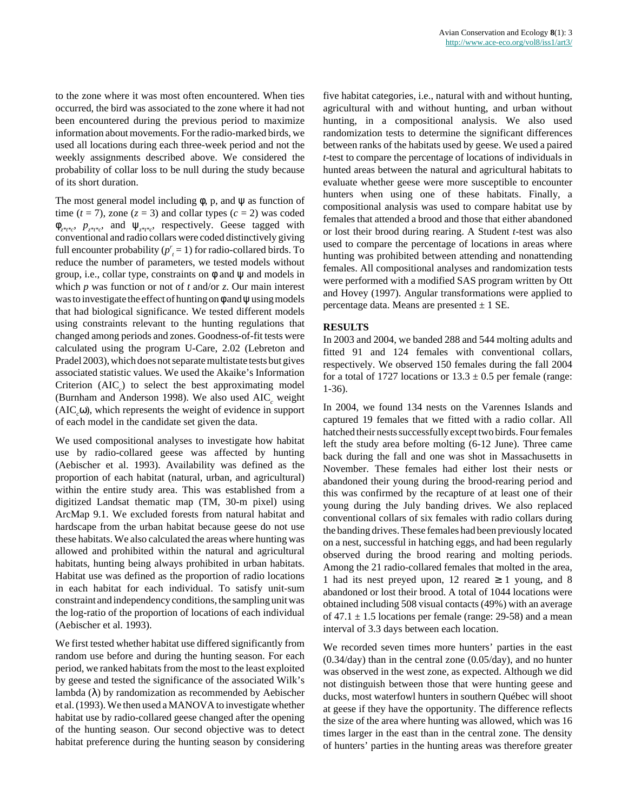to the zone where it was most often encountered. When ties occurred, the bird was associated to the zone where it had not been encountered during the previous period to maximize information about movements. For the radio-marked birds, we used all locations during each three-week period and not the weekly assignments described above. We considered the probability of collar loss to be null during the study because of its short duration.

The most general model including  $\phi$ , p, and  $\psi$  as function of time  $(t = 7)$ , zone  $(z = 3)$  and collar types  $(c = 2)$  was coded  $\phi_{z^*t^*c}$ ,  $p_{z^*t^*c}$ , and  $\psi_{z^*t^*c}$ , respectively. Geese tagged with conventional and radio collars were coded distinctively giving full encounter probability  $(p<sup>r</sup><sub>t</sub> = 1)$  for radio-collared birds. To reduce the number of parameters, we tested models without group, i.e., collar type, constraints on  $\phi$  and  $\psi$  and models in which *p* was function or not of *t* and/or *z*. Our main interest was to investigate the effect of hunting on  $\phi$  and  $\psi$  using models that had biological significance. We tested different models using constraints relevant to the hunting regulations that changed among periods and zones. Goodness-of-fit tests were calculated using the program U-Care, 2.02 (Lebreton and Pradel 2003), which does not separate multistate tests but gives associated statistic values. We used the Akaike's Information Criterion (AIC<sub>c</sub>) to select the best approximating model (Burnham and Anderson 1998). We also used  $AIC_c$  weight (AIC*c*ω), which represents the weight of evidence in support of each model in the candidate set given the data.

We used compositional analyses to investigate how habitat use by radio-collared geese was affected by hunting (Aebischer et al. 1993). Availability was defined as the proportion of each habitat (natural, urban, and agricultural) within the entire study area. This was established from a digitized Landsat thematic map (TM, 30-m pixel) using ArcMap 9.1. We excluded forests from natural habitat and hardscape from the urban habitat because geese do not use these habitats. We also calculated the areas where hunting was allowed and prohibited within the natural and agricultural habitats, hunting being always prohibited in urban habitats. Habitat use was defined as the proportion of radio locations in each habitat for each individual. To satisfy unit-sum constraint and independency conditions, the sampling unit was the log-ratio of the proportion of locations of each individual (Aebischer et al. 1993).

We first tested whether habitat use differed significantly from random use before and during the hunting season. For each period, we ranked habitats from the most to the least exploited by geese and tested the significance of the associated Wilk's lambda  $(\lambda)$  by randomization as recommended by Aebischer et al. (1993). We then used a MANOVA to investigate whether habitat use by radio-collared geese changed after the opening of the hunting season. Our second objective was to detect habitat preference during the hunting season by considering five habitat categories, i.e., natural with and without hunting, agricultural with and without hunting, and urban without hunting, in a compositional analysis. We also used randomization tests to determine the significant differences between ranks of the habitats used by geese. We used a paired *t*-test to compare the percentage of locations of individuals in hunted areas between the natural and agricultural habitats to evaluate whether geese were more susceptible to encounter hunters when using one of these habitats. Finally, a compositional analysis was used to compare habitat use by females that attended a brood and those that either abandoned or lost their brood during rearing. A Student *t*-test was also used to compare the percentage of locations in areas where hunting was prohibited between attending and nonattending females. All compositional analyses and randomization tests were performed with a modified SAS program written by Ott and Hovey (1997). Angular transformations were applied to percentage data. Means are presented  $\pm$  1 SE.

## **RESULTS**

In 2003 and 2004, we banded 288 and 544 molting adults and fitted 91 and 124 females with conventional collars, respectively. We observed 150 females during the fall 2004 for a total of 1727 locations or  $13.3 \pm 0.5$  per female (range: 1-36).

In 2004, we found 134 nests on the Varennes Islands and captured 19 females that we fitted with a radio collar. All hatched their nests successfully except two birds. Four females left the study area before molting (6-12 June). Three came back during the fall and one was shot in Massachusetts in November. These females had either lost their nests or abandoned their young during the brood-rearing period and this was confirmed by the recapture of at least one of their young during the July banding drives. We also replaced conventional collars of six females with radio collars during the banding drives. These females had been previously located on a nest, successful in hatching eggs, and had been regularly observed during the brood rearing and molting periods. Among the 21 radio-collared females that molted in the area, 1 had its nest preyed upon, 12 reared  $\geq$  1 young, and 8 abandoned or lost their brood. A total of 1044 locations were obtained including 508 visual contacts (49%) with an average of  $47.1 \pm 1.5$  locations per female (range: 29-58) and a mean interval of 3.3 days between each location.

We recorded seven times more hunters' parties in the east (0.34/day) than in the central zone (0.05/day), and no hunter was observed in the west zone, as expected. Although we did not distinguish between those that were hunting geese and ducks, most waterfowl hunters in southern Québec will shoot at geese if they have the opportunity. The difference reflects the size of the area where hunting was allowed, which was 16 times larger in the east than in the central zone. The density of hunters' parties in the hunting areas was therefore greater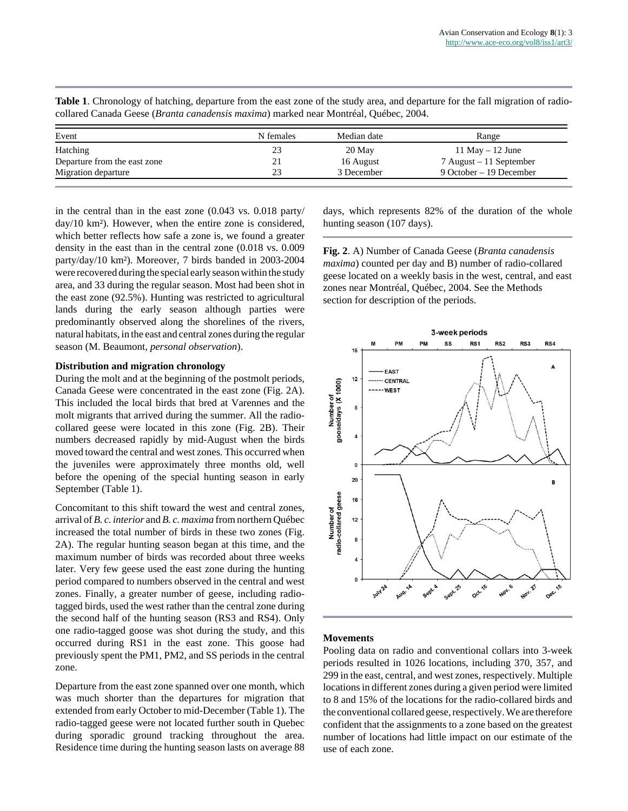| Event                        | N females | Median date | Range<br>11 May $-$ 12 June |  |
|------------------------------|-----------|-------------|-----------------------------|--|
| Hatching                     | 23        | 20 May      |                             |  |
| Departure from the east zone | 21        | 16 August   | $7$ August $-11$ September  |  |
| Migration departure          | 23        | 3 December  | 9 October – 19 December     |  |

**Table 1**. Chronology of hatching, departure from the east zone of the study area, and departure for the fall migration of radiocollared Canada Geese (*Branta canadensis maxima*) marked near Montréal, Québec, 2004.

in the central than in the east zone (0.043 vs. 0.018 party/ day/10 km²). However, when the entire zone is considered, which better reflects how safe a zone is, we found a greater density in the east than in the central zone (0.018 vs. 0.009 party/day/10 km²). Moreover, 7 birds banded in 2003-2004 were recovered during the special early season within the study area, and 33 during the regular season. Most had been shot in the east zone (92.5%). Hunting was restricted to agricultural lands during the early season although parties were predominantly observed along the shorelines of the rivers, natural habitats, in the east and central zones during the regular season (M. Beaumont, *personal observation*).

#### **Distribution and migration chronology**

During the molt and at the beginning of the postmolt periods, Canada Geese were concentrated in the east zone (Fig. 2A). This included the local birds that bred at Varennes and the molt migrants that arrived during the summer. All the radiocollared geese were located in this zone (Fig. 2B). Their numbers decreased rapidly by mid-August when the birds moved toward the central and west zones. This occurred when the juveniles were approximately three months old, well before the opening of the special hunting season in early September (Table 1).

Concomitant to this shift toward the west and central zones, arrival of *B. c. interior* and *B. c. maxima* from northern Québec increased the total number of birds in these two zones (Fig. 2A). The regular hunting season began at this time, and the maximum number of birds was recorded about three weeks later. Very few geese used the east zone during the hunting period compared to numbers observed in the central and west zones. Finally, a greater number of geese, including radiotagged birds, used the west rather than the central zone during the second half of the hunting season (RS3 and RS4). Only one radio-tagged goose was shot during the study, and this occurred during RS1 in the east zone. This goose had previously spent the PM1, PM2, and SS periods in the central zone.

Departure from the east zone spanned over one month, which was much shorter than the departures for migration that extended from early October to mid-December (Table 1). The radio-tagged geese were not located further south in Quebec during sporadic ground tracking throughout the area. Residence time during the hunting season lasts on average 88 days, which represents 82% of the duration of the whole hunting season (107 days).

**Fig. 2**. A) Number of Canada Geese (*Branta canadensis maxima*) counted per day and B) number of radio-collared geese located on a weekly basis in the west, central, and east zones near Montréal, Québec, 2004. See the Methods section for description of the periods.



## **Movements**

Pooling data on radio and conventional collars into 3-week periods resulted in 1026 locations, including 370, 357, and 299 in the east, central, and west zones, respectively. Multiple locations in different zones during a given period were limited to 8 and 15% of the locations for the radio-collared birds and the conventional collared geese, respectively. We are therefore confident that the assignments to a zone based on the greatest number of locations had little impact on our estimate of the use of each zone.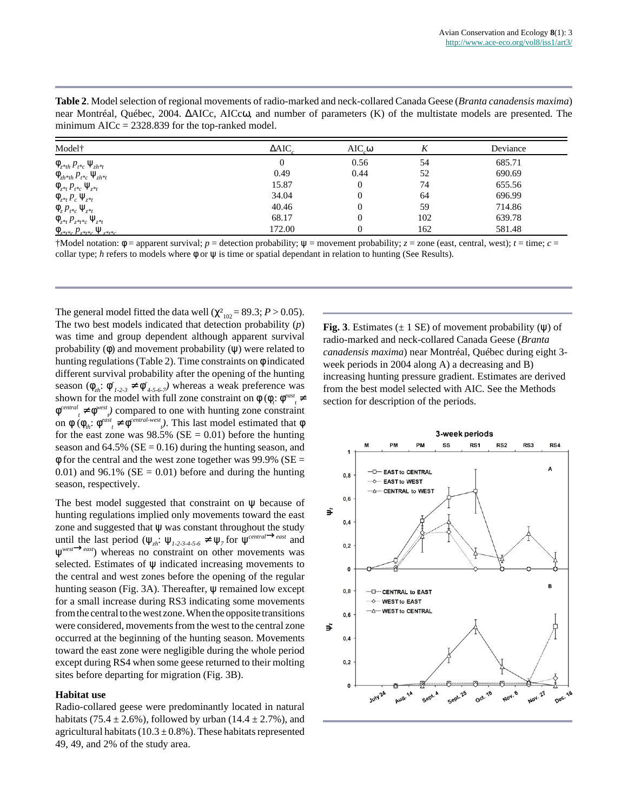| Table 2. Model selection of regional movements of radio-marked and neck-collared Canada Geese (Branta canadensis maxima) |
|--------------------------------------------------------------------------------------------------------------------------|
| near Montréal, Québec, 2004. ΔAICc, AICcω, and number of parameters (K) of the multistate models are presented. The      |
| minimum $AICc = 2328.839$ for the top-ranked model.                                                                      |

| Model <sup>†</sup>                                | $\triangle AIC$ | AIC $\omega$ |     | Deviance |
|---------------------------------------------------|-----------------|--------------|-----|----------|
| $\oint_{z^*th} p_{t^*c} \Psi_{zh^*t}$             |                 | 0.56         | 54  | 685.71   |
| $\oint_{z} h *_{th} P_{t} *_{c} \Psi_{z} h *_{t}$ | 0.49            | 0.44         | 52  | 690.69   |
| $\oint_{z^*t} P_{t^*c} \Psi_{z^*t}$               | 15.87           | 0            | 74  | 655.56   |
| $\oint_{z^*t} P_c \Psi_{z^*t}$                    | 34.04           | 0            | 64  | 696.99   |
| $\oint_z P_{t^*c} \Psi_{z^*t}$                    | 40.46           | $\theta$     | 59  | 714.86   |
| $\oint_{z^{*t}} p_{z^{*t^{*}c}} \Psi_{z^{*t}}$    | 68.17           | 0            | 102 | 639.78   |
| $\oint_{z^*t^*c} p_{z^*t^*c} \Psi_{z^*t^*c}$      | 172.00          |              | 162 | 581.48   |

†Model notation:  $\phi$  = apparent survival; *p* = detection probability;  $\psi$  = movement probability; *z* = zone (east, central, west); *t* = time; *c* = collar type; *h* refers to models where φ or ψ is time or spatial dependant in relation to hunting (See Results).

The general model fitted the data well ( $\chi^2_{102}$  = 89.3; *P* > 0.05). The two best models indicated that detection probability (*p*) was time and group dependent although apparent survival probability (φ) and movement probability (ψ) were related to hunting regulations (Table 2). Time constraints on φ indicated different survival probability after the opening of the hunting season  $(\phi_{\mathit{zh}}: \phi_{\mathit{I-2-3}}^r \neq \phi_{\mathit{4-5-6-7}}^r)$  whereas a weak preference was shown for the model with full zone constraint on  $\phi$  ( $\phi_i$ :  $\phi^{east}$ ,  $\neq$  $\phi^{central}_{t} \neq \phi^{west}_{t}$  compared to one with hunting zone constraint on  $\phi$  ( $\phi_{th}$ :  $\phi^{east}$   $\phi^{eentral-west}$ ). This last model estimated that  $\phi$ for the east zone was  $98.5\%$  (SE = 0.01) before the hunting season and  $64.5\%$  (SE = 0.16) during the hunting season, and  $\phi$  for the central and the west zone together was 99.9% (SE =  $(0.01)$  and 96.1% (SE = 0.01) before and during the hunting season, respectively.

The best model suggested that constraint on  $\psi$  because of hunting regulations implied only movements toward the east zone and suggested that  $\Psi$  was constant throughout the study until the last period ( $\Psi_{zh}$ :  $\Psi_{1-2.3.4.5.6} \neq \Psi_7$  for  $\Psi^{central \rightarrow}$ *east* and  $\Psi^{\text{west}}$  and present  $\langle \tau_{zh}^{*} \tau_{I-2.3.4.5.6} \rangle$   $\langle \tau_{I}^{*} \tau_{I-2.3.4.5.6} \rangle$  whereas no constraint on other movements was selected. Estimates of ψ indicated increasing movements to the central and west zones before the opening of the regular hunting season (Fig. 3A). Thereafter, ψ remained low except for a small increase during RS3 indicating some movements from the central to the west zone. When the opposite transitions were considered, movements from the west to the central zone occurred at the beginning of the hunting season. Movements toward the east zone were negligible during the whole period except during RS4 when some geese returned to their molting sites before departing for migration (Fig. 3B).

#### **Habitat use**

Radio-collared geese were predominantly located in natural habitats (75.4  $\pm$  2.6%), followed by urban (14.4  $\pm$  2.7%), and agricultural habitats ( $10.3 \pm 0.8$ %). These habitats represented 49, 49, and 2% of the study area.

**Fig. 3**. Estimates  $(\pm 1 \text{ SE})$  of movement probability ( $\psi$ ) of radio-marked and neck-collared Canada Geese (*Branta canadensis maxima*) near Montréal, Québec during eight 3 week periods in 2004 along A) a decreasing and B) increasing hunting pressure gradient. Estimates are derived from the best model selected with AIC. See the Methods section for description of the periods.

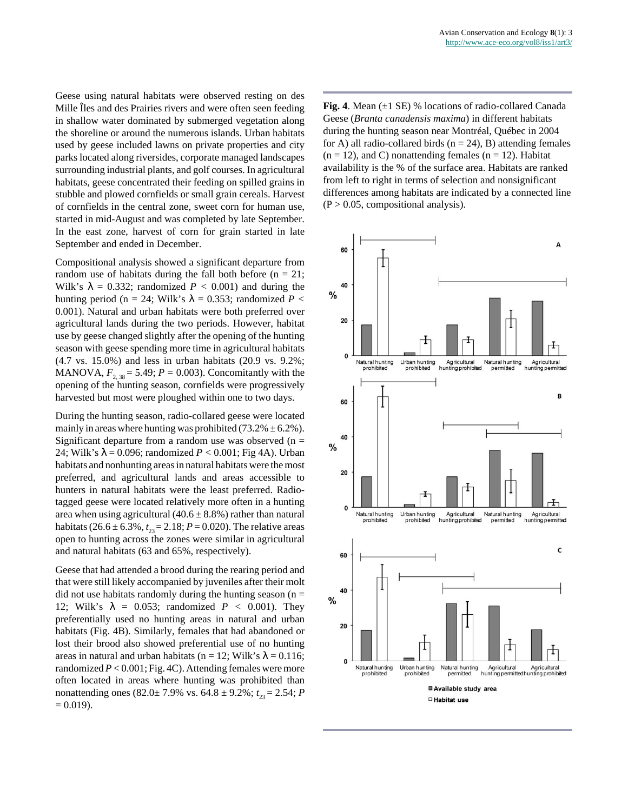Geese using natural habitats were observed resting on des Mille Îles and des Prairies rivers and were often seen feeding in shallow water dominated by submerged vegetation along the shoreline or around the numerous islands. Urban habitats used by geese included lawns on private properties and city parks located along riversides, corporate managed landscapes surrounding industrial plants, and golf courses. In agricultural habitats, geese concentrated their feeding on spilled grains in stubble and plowed cornfields or small grain cereals. Harvest of cornfields in the central zone, sweet corn for human use, started in mid-August and was completed by late September. In the east zone, harvest of corn for grain started in late September and ended in December.

Compositional analysis showed a significant departure from random use of habitats during the fall both before  $(n = 21)$ ; Wilk's  $\lambda = 0.332$ ; randomized  $P < 0.001$ ) and during the hunting period (n = 24; Wilk's  $\lambda = 0.353$ ; randomized *P* < 0.001). Natural and urban habitats were both preferred over agricultural lands during the two periods. However, habitat use by geese changed slightly after the opening of the hunting season with geese spending more time in agricultural habitats (4.7 vs. 15.0%) and less in urban habitats (20.9 vs. 9.2%; MANOVA,  $F_{2,38} = 5.49$ ;  $P = 0.003$ ). Concomitantly with the opening of the hunting season, cornfields were progressively harvested but most were ploughed within one to two days.

During the hunting season, radio-collared geese were located mainly in areas where hunting was prohibited  $(73.2\% \pm 6.2\%)$ . Significant departure from a random use was observed  $(n =$ 24; Wilk's λ = 0.096; randomized *P <* 0.001; Fig 4A). Urban habitats and nonhunting areas in natural habitats were the most preferred, and agricultural lands and areas accessible to hunters in natural habitats were the least preferred. Radiotagged geese were located relatively more often in a hunting area when using agricultural  $(40.6 \pm 8.8\%)$  rather than natural habitats  $(26.6 \pm 6.3\%, t_{23} = 2.18; P = 0.020)$ . The relative areas open to hunting across the zones were similar in agricultural and natural habitats (63 and 65%, respectively).

Geese that had attended a brood during the rearing period and that were still likely accompanied by juveniles after their molt did not use habitats randomly during the hunting season  $(n =$ 12; Wilk's λ = 0.053; randomized *P <* 0.001). They preferentially used no hunting areas in natural and urban habitats (Fig. 4B). Similarly, females that had abandoned or lost their brood also showed preferential use of no hunting areas in natural and urban habitats (n = 12; Wilk's  $\lambda$  = 0.116; randomized *P <* 0.001; Fig. 4C). Attending females were more often located in areas where hunting was prohibited than nonattending ones (82.0± 7.9% vs. 64.8 ± 9.2%;  $t_{23} = 2.54$ ; *P*  $= 0.019$ .

**Fig. 4**. Mean (±1 SE) % locations of radio-collared Canada Geese (*Branta canadensis maxima*) in different habitats during the hunting season near Montréal, Québec in 2004 for A) all radio-collared birds  $(n = 24)$ , B) attending females  $(n = 12)$ , and C) nonattending females  $(n = 12)$ . Habitat availability is the % of the surface area. Habitats are ranked from left to right in terms of selection and nonsignificant differences among habitats are indicated by a connected line  $(P > 0.05$ , compositional analysis).

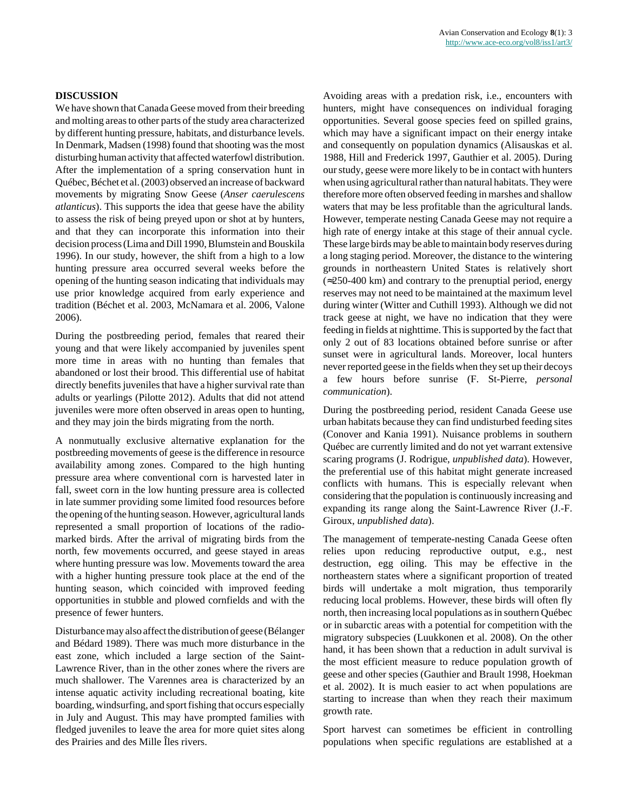## **DISCUSSION**

We have shown that Canada Geese moved from their breeding and molting areas to other parts of the study area characterized by different hunting pressure, habitats, and disturbance levels. In Denmark, Madsen (1998) found that shooting was the most disturbing human activity that affected waterfowl distribution. After the implementation of a spring conservation hunt in Québec, Béchet et al. (2003) observed an increase of backward movements by migrating Snow Geese (*Anser caerulescens atlanticus*). This supports the idea that geese have the ability to assess the risk of being preyed upon or shot at by hunters, and that they can incorporate this information into their decision process (Lima and Dill 1990, Blumstein and Bouskila 1996). In our study, however, the shift from a high to a low hunting pressure area occurred several weeks before the opening of the hunting season indicating that individuals may use prior knowledge acquired from early experience and tradition (Béchet et al. 2003, McNamara et al. 2006, Valone 2006).

During the postbreeding period, females that reared their young and that were likely accompanied by juveniles spent more time in areas with no hunting than females that abandoned or lost their brood. This differential use of habitat directly benefits juveniles that have a higher survival rate than adults or yearlings (Pilotte 2012). Adults that did not attend juveniles were more often observed in areas open to hunting, and they may join the birds migrating from the north.

A nonmutually exclusive alternative explanation for the postbreeding movements of geese is the difference in resource availability among zones. Compared to the high hunting pressure area where conventional corn is harvested later in fall, sweet corn in the low hunting pressure area is collected in late summer providing some limited food resources before the opening of the hunting season. However, agricultural lands represented a small proportion of locations of the radiomarked birds. After the arrival of migrating birds from the north, few movements occurred, and geese stayed in areas where hunting pressure was low. Movements toward the area with a higher hunting pressure took place at the end of the hunting season, which coincided with improved feeding opportunities in stubble and plowed cornfields and with the presence of fewer hunters.

Disturbance may also affect the distribution of geese (Bélanger and Bédard 1989). There was much more disturbance in the east zone, which included a large section of the Saint-Lawrence River, than in the other zones where the rivers are much shallower. The Varennes area is characterized by an intense aquatic activity including recreational boating, kite boarding, windsurfing, and sport fishing that occurs especially in July and August. This may have prompted families with fledged juveniles to leave the area for more quiet sites along des Prairies and des Mille Îles rivers.

Avoiding areas with a predation risk, i.e., encounters with hunters, might have consequences on individual foraging opportunities. Several goose species feed on spilled grains, which may have a significant impact on their energy intake and consequently on population dynamics (Alisauskas et al. 1988, Hill and Frederick 1997, Gauthier et al. 2005). During our study, geese were more likely to be in contact with hunters when using agricultural rather than natural habitats. They were therefore more often observed feeding in marshes and shallow waters that may be less profitable than the agricultural lands. However, temperate nesting Canada Geese may not require a high rate of energy intake at this stage of their annual cycle. These large birds may be able to maintain body reserves during a long staging period. Moreover, the distance to the wintering grounds in northeastern United States is relatively short  $\approx$  250-400 km) and contrary to the prenuptial period, energy reserves may not need to be maintained at the maximum level during winter (Witter and Cuthill 1993). Although we did not track geese at night, we have no indication that they were feeding in fields at nighttime. This is supported by the fact that only 2 out of 83 locations obtained before sunrise or after sunset were in agricultural lands. Moreover, local hunters never reported geese in the fields when they set up their decoys a few hours before sunrise (F. St-Pierre, *personal communication*).

During the postbreeding period, resident Canada Geese use urban habitats because they can find undisturbed feeding sites (Conover and Kania 1991). Nuisance problems in southern Québec are currently limited and do not yet warrant extensive scaring programs (J. Rodrigue, *unpublished data*). However, the preferential use of this habitat might generate increased conflicts with humans. This is especially relevant when considering that the population is continuously increasing and expanding its range along the Saint-Lawrence River (J.-F. Giroux, *unpublished data*).

The management of temperate-nesting Canada Geese often relies upon reducing reproductive output, e.g., nest destruction, egg oiling. This may be effective in the northeastern states where a significant proportion of treated birds will undertake a molt migration, thus temporarily reducing local problems. However, these birds will often fly north, then increasing local populations as in southern Québec or in subarctic areas with a potential for competition with the migratory subspecies (Luukkonen et al. 2008). On the other hand, it has been shown that a reduction in adult survival is the most efficient measure to reduce population growth of geese and other species (Gauthier and Brault 1998, Hoekman et al. 2002). It is much easier to act when populations are starting to increase than when they reach their maximum growth rate.

Sport harvest can sometimes be efficient in controlling populations when specific regulations are established at a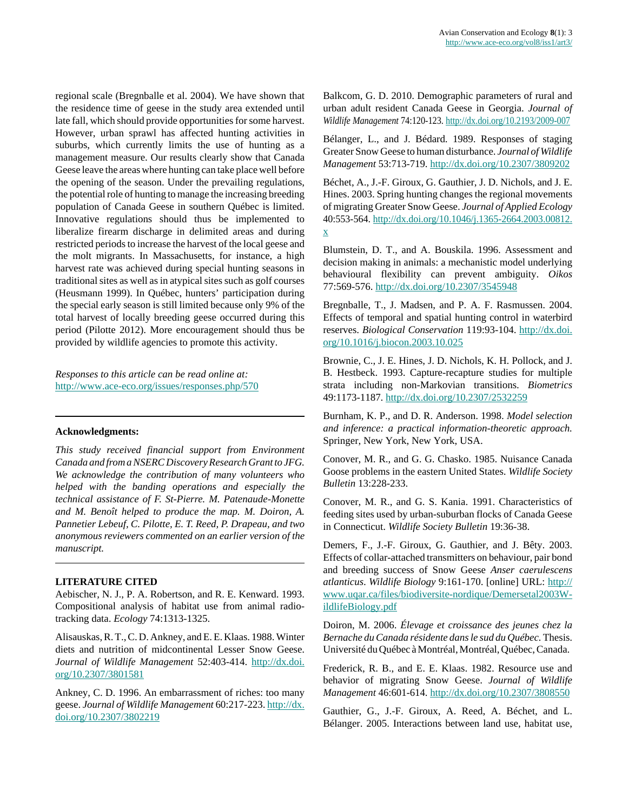regional scale (Bregnballe et al. 2004). We have shown that the residence time of geese in the study area extended until late fall, which should provide opportunities for some harvest. However, urban sprawl has affected hunting activities in suburbs, which currently limits the use of hunting as a management measure. Our results clearly show that Canada Geese leave the areas where hunting can take place well before the opening of the season. Under the prevailing regulations, the potential role of hunting to manage the increasing breeding population of Canada Geese in southern Québec is limited. Innovative regulations should thus be implemented to liberalize firearm discharge in delimited areas and during restricted periods to increase the harvest of the local geese and the molt migrants. In Massachusetts, for instance, a high harvest rate was achieved during special hunting seasons in traditional sites as well as in atypical sites such as golf courses (Heusmann 1999). In Québec, hunters' participation during the special early season is still limited because only 9% of the total harvest of locally breeding geese occurred during this period (Pilotte 2012). More encouragement should thus be provided by wildlife agencies to promote this activity.

*Responses to this article can be read online at:* <http://www.ace-eco.org/issues/responses.php/570>

## **Acknowledgments:**

*This study received financial support from Environment Canada and from a NSERC Discovery Research Grant to JFG. We acknowledge the contribution of many volunteers who helped with the banding operations and especially the technical assistance of F. St-Pierre. M. Patenaude-Monette and M. Benoît helped to produce the map. M. Doiron, A. Pannetier Lebeuf, C. Pilotte, E. T. Reed, P. Drapeau, and two anonymous reviewers commented on an earlier version of the manuscript.*

## **LITERATURE CITED**

Aebischer, N. J., P. A. Robertson, and R. E. Kenward. 1993. Compositional analysis of habitat use from animal radiotracking data. *Ecology* 74:1313-1325.

Alisauskas, R. T., C. D. Ankney, and E. E. Klaas. 1988. Winter diets and nutrition of midcontinental Lesser Snow Geese. *Journal of Wildlife Management* 52:403-414. [http://dx.doi.](http://dx.doi.org/10.2307/3801581) [org/10.2307/3801581](http://dx.doi.org/10.2307/3801581)

Ankney, C. D. 1996. An embarrassment of riches: too many geese. *Journal of Wildlife Management* 60:217-223. [http://dx.](http://dx.doi.org/10.2307/3802219) [doi.org/10.2307/3802219](http://dx.doi.org/10.2307/3802219)

Balkcom, G. D. 2010. Demographic parameters of rural and urban adult resident Canada Geese in Georgia. *Journal of Wildlife Management* 74:120-123. <http://dx.doi.org/10.2193/2009-007>

Bélanger, L., and J. Bédard. 1989. Responses of staging Greater Snow Geese to human disturbance. *Journal of Wildlife Management* 53:713-719.<http://dx.doi.org/10.2307/3809202>

Béchet, A., J.-F. Giroux, G. Gauthier, J. D. Nichols, and J. E. Hines. 2003. Spring hunting changes the regional movements of migrating Greater Snow Geese. *Journal of Applied Ecology* 40:553-564. [http://dx.doi.org/10.1046/j.1365-2664.2003.00812.](http://dx.doi.org/10.1046/j.1365-2664.2003.00812.x) [x](http://dx.doi.org/10.1046/j.1365-2664.2003.00812.x)

Blumstein, D. T., and A. Bouskila. 1996. Assessment and decision making in animals: a mechanistic model underlying behavioural flexibility can prevent ambiguity. *Oikos* 77:569-576.<http://dx.doi.org/10.2307/3545948>

Bregnballe, T., J. Madsen, and P. A. F. Rasmussen. 2004. Effects of temporal and spatial hunting control in waterbird reserves. *Biological Conservation* 119:93-104. [http://dx.doi.](http://dx.doi.org/10.1016/j.biocon.2003.10.025) [org/10.1016/j.biocon.2003.10.025](http://dx.doi.org/10.1016/j.biocon.2003.10.025)

Brownie, C., J. E. Hines, J. D. Nichols, K. H. Pollock, and J. B. Hestbeck. 1993. Capture-recapture studies for multiple strata including non-Markovian transitions. *Biometrics* 49:1173-1187.<http://dx.doi.org/10.2307/2532259>

Burnham, K. P., and D. R. Anderson. 1998. *Model selection and inference: a practical information-theoretic approach.* Springer, New York, New York, USA.

Conover, M. R., and G. G. Chasko. 1985. Nuisance Canada Goose problems in the eastern United States. *Wildlife Society Bulletin* 13:228-233.

Conover, M. R., and G. S. Kania. 1991. Characteristics of feeding sites used by urban-suburban flocks of Canada Geese in Connecticut. *Wildlife Society Bulletin* 19:36-38.

Demers, F., J.-F. Giroux, G. Gauthier, and J. Bêty. 2003. Effects of collar-attached transmitters on behaviour, pair bond and breeding success of Snow Geese *Anser caerulescens atlanticus*. *Wildlife Biology* 9:161-170. [online] URL: [http://](http://www.uqar.ca/files/biodiversite-nordique/Demersetal2003WildlifeBiology.pdf) [www.uqar.ca/files/biodiversite-nordique/Demersetal2003W](http://www.uqar.ca/files/biodiversite-nordique/Demersetal2003WildlifeBiology.pdf)[ildlifeBiology.pdf](http://www.uqar.ca/files/biodiversite-nordique/Demersetal2003WildlifeBiology.pdf)

Doiron, M. 2006. *Élevage et croissance des jeunes chez la Bernache du Canada résidente dans le sud du Québec.* Thesis. Université du Québec à Montréal, Montréal, Québec, Canada.

Frederick, R. B., and E. E. Klaas. 1982. Resource use and behavior of migrating Snow Geese. *Journal of Wildlife Management* 46:601-614.<http://dx.doi.org/10.2307/3808550>

Gauthier, G., J.-F. Giroux, A. Reed, A. Béchet, and L. Bélanger. 2005. Interactions between land use, habitat use,